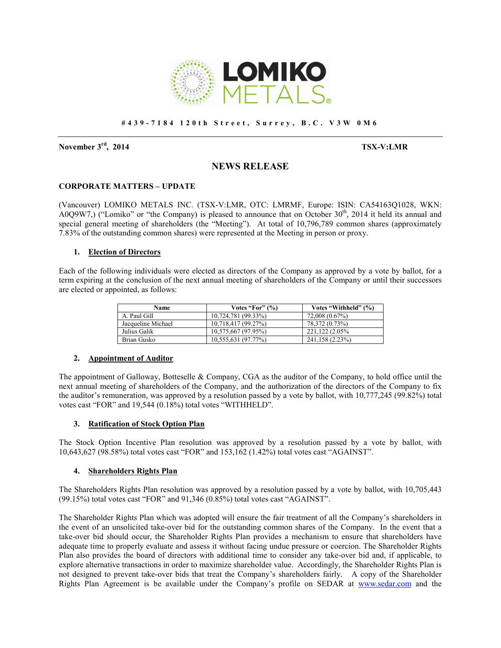

#### **# 4 3 9 - 7 1 8 4 1 2 0 t h S t r e e t , S u r r e y , B . C . V 3 W 0 M 6**

**November 3rd, 2014 TSX-V:LMR**

# **NEWS RELEASE**

### **CORPORATE MATTERS – UPDATE**

(Vancouver) LOMIKO METALS INC. (TSX-V:LMR, OTC: LMRMF, Europe: ISIN: CA54163Q1028, WKN: A0Q9W7,) ("Lomiko" or "the Company) is pleased to announce that on October  $30<sup>th</sup>$ , 2014 it held its annual and special general meeting of shareholders (the "Meeting"). At total of 10,796,789 common shares (approximately 7.83% of the outstanding common shares) were represented at the Meeting in person or proxy.

## **1. Election of Directors**

Each of the following individuals were elected as directors of the Company as approved by a vote by ballot, for a term expiring at the conclusion of the next annual meeting of shareholders of the Company or until their successors are elected or appointed, as follows:

| <b>Name</b>        | Votes "For" $(\% )$ | Votes "Withheld" (%) |
|--------------------|---------------------|----------------------|
| A. Paul Gill       | 10,724,781 (99.33%) | 72,008 (0.67%)       |
| Jacqueline Michael | 10,718,417 (99.27%) | 78,372 (0.73%)       |
| Julius Galik       | 10,575,667 (97.95%) | 221.122 (2.05%)      |
| Brian Gusko        | 10,555,631 (97.77%) | 241,158 (2.23%)      |

### **2. Appointment of Auditor**

The appointment of Galloway, Botteselle & Company, CGA as the auditor of the Company, to hold office until the next annual meeting of shareholders of the Company, and the authorization of the directors of the Company to fix the auditor's remuneration, was approved by a resolution passed by a vote by ballot, with 10,777,245 (99.82%) total votes cast "FOR" and 19,544 (0.18%) total votes "WITHHELD".

### **3. Ratification of Stock Option Plan**

The Stock Option Incentive Plan resolution was approved by a resolution passed by a vote by ballot, with 10,643,627 (98.58%) total votes cast "FOR" and 153,162 (1.42%) total votes cast "AGAINST".

### **4. Shareholders Rights Plan**

The Shareholders Rights Plan resolution was approved by a resolution passed by a vote by ballot, with 10,705,443 (99.15%) total votes cast "FOR" and 91,346 (0.85%) total votes cast "AGAINST".

The Shareholder Rights Plan which was adopted will ensure the fair treatment of all the Company's shareholders in the event of an unsolicited take-over bid for the outstanding common shares of the Company. In the event that a take-over bid should occur, the Shareholder Rights Plan provides a mechanism to ensure that shareholders have adequate time to properly evaluate and assess it without facing undue pressure or coercion. The Shareholder Rights Plan also provides the board of directors with additional time to consider any take-over bid and, if applicable, to explore alternative transactions in order to maximize shareholder value. Accordingly, the Shareholder Rights Plan is not designed to prevent take-over bids that treat the Company's shareholders fairly. A copy of the Shareholder Rights Plan Agreement is be available under the Company's profile on SEDAR at www.sedar.com and the